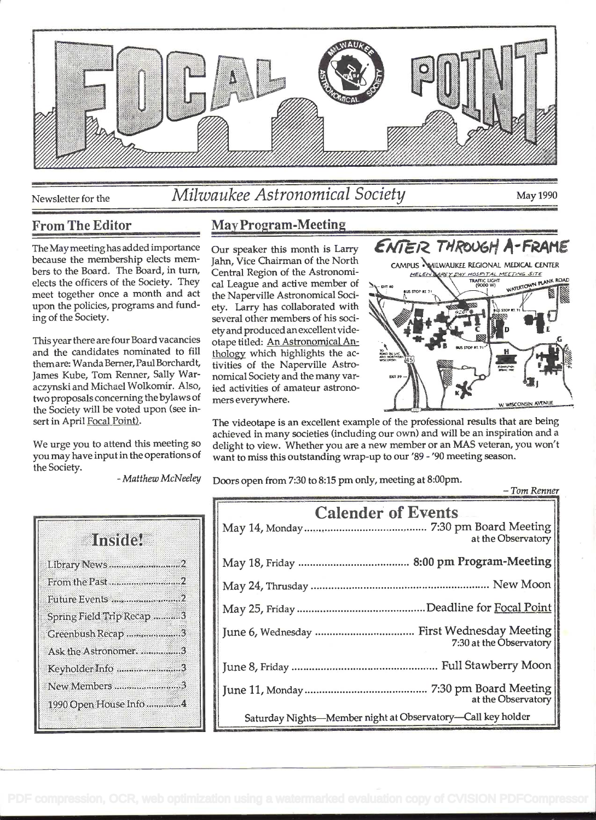

# Newsletter for the *Milwaukee Astronomical Society* May 1990

# From The Editor

The May meeting has added importance Our speaker this month is Larry because the membership elects members to the Board. The Board, in turn, elects the officers of the Society. They meet together once a month and act upon the policies, programs and funding of the Society.

This year there are four Board vacancies and the candidates nominated to fill themare: Wanda Berner, Paul Borchardt, James Kube, Tom Renner, Sally Waraczynski and Michael Wolkomir. Also, two proposals concerning the bylaws of the Society will be voted upon (see insert in April Focal Point).

We urge you to attend this meeting so you may have input in the operations of the Society.

# May Program-Meeting

Jahn, Vice Chairman of the North Central Region of the Astronomical League and active member of the Naperville Astronomical Society. Larry has collaborated with several other members of his societyand produced anexcellent videotape titled: An Astronomical Anthologv which highlights the activities of the Naperville Astronomical Society and the many varied activities of amateur astronomers everywhere.



REY DAY HOSPITAL MEETING SITE HELEN N PLANK ROAD TRAFFIC LIGHT<br>(9000 W) **NATERTON** 

The videotape is an excellent example of the professional results that are being achieved in many societies (including our Own) and will be an inspiration and a delight to view. Whether you are a new member or an MAS veteran, you won't want to miss this outstanding wrap-up to our '89 - '90 meeting season.

- Matthew McNeeley Doors open from 7:30 to 8:15 pm only, meeting at 8:00pm. - Tom Renner

| Instite                   |  |
|---------------------------|--|
| Library News 2            |  |
| From the Past 2           |  |
| Future Events 2           |  |
| Spring Field Trip Recap 3 |  |
| Greenbush Recap 3         |  |
| Ask the Astronomer. 3     |  |
| Keyholder Info 3          |  |
| New Members 3             |  |
| 1990 Open House Info4     |  |

| <b>Calender of Events</b><br>at the Observatory             |  |
|-------------------------------------------------------------|--|
|                                                             |  |
|                                                             |  |
|                                                             |  |
| 7:30 at the Observatory                                     |  |
|                                                             |  |
| at the Observatory                                          |  |
| Saturday Nights-Member night at Observatory-Call key holder |  |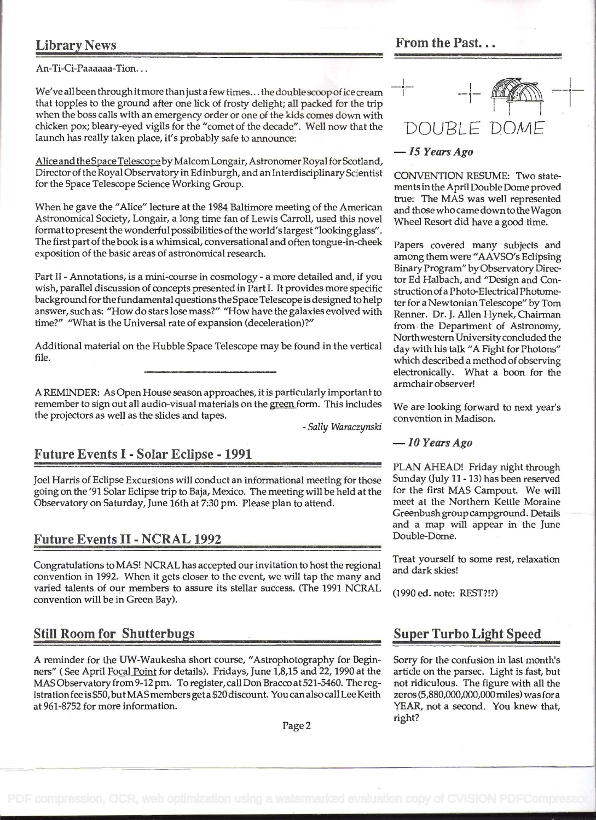# Library News

An-Ti-Ci-Paaaaaa-Tion...

We've all been through it more than just a few times... the double scoop of ice cream that topples to the ground after one lick of frosty delight; all packed for the trip when the boss calls with an emergency order or one of the kids comes down with chicken pox; bleary-eyed vigils for the "comet of the decade". Well now that the launch has really taken place, it's probably safe to announce:

Alice and the Space Telescopeby Malcom Longair, Astronomer Royal for Scotland, Director of the Royal Observatory in Edinburgh, and an Interdisciplinary Scientist for the Space Telescope Science Working Group.

When he gave the "Alice" lecture at the 1984 Baltimore meeting of the American Astronomical Society, Longair, a long time fan of Lewis Carroll, used this novel formatto present the wonderful possibilities of the world's largest "looking glass". The first part of the book is a whimsical, conversational and often tongue-in-cheek exposition of the basic areas of astronomical research.

Part II - Annotations, is a mini-course in cosmology - a more detailed and, if you wish, parallel discussion of concepts presented in Part I. It provides more specific background for the fundamental questions the Space Telescope is designed to help answer, such as: "How do stars lose mass?" "How have the galaxies evolved with time?" "What is the Universal rate of expansion (deceleration)?"

Additional material on the Hubble Space Telescope may be found in the vertical file.

A REMINDER: As Open House season approaches, it is particularly important to remember to sign out all audio-visual materials on the green form. This includes We are looking forward to next year's the projectors as well as the slides and tapes. coñvention in Madison.

- Sally Waraczynski

# Future Events I - Solar Eclipse - 1991

Joel Harris of Eclipse Excursions will conduct an informational meeting for those Sunday (July 11 - 13) has been reserved<br>going on the '91 Solar Eclipse trip to Baia, Mexico. The meeting will be held at the for the first M going on the '91 Solar Eclipse trip to Baja, Mexico. The meeting will be held at the for the first MAS Campout. We will<br>Observatory on Saturday. June 16th at 7:30 pm. Please plan to attend. The meet at the Northern Kettle Observatory on Saturday, June 16th at 7:30 pm. Please plan to attend.

### Future Events II - NCRAL 1992

Congratulations to MAS! NCRAL has accepted our invitation to host the regional Treat yourself to some rest, relaxation convention in 1992. When it gets closer to the event, we will tap the many and dark skies! varied talents of our members to assure its stellar success. (The 1991 NCRAL (1990 ed. note: REST?!?) convention will be in Green Bay).

## Still Room for Shutterbus . Suner Turbo Light Sneed

A reminder for the UW-Waukesha short course, "Astrophotography for Beginners" ( See April Focal Point for details). Fridays, June 1,8,15 and 22, 1990 at the MAS Observatory from 9-12 pm. To register, call Don Bracco at 521-5460. The registrationfee is \$50,butMAS members get a \$20 discount. You can also call Lee Keith at 961-8752 for more information.

From the Past...

# $-1$  -1-  $1000 -1$ DOUBLE

#### - <sup>15</sup>Years Ago

CONVENTION RESUME: Two statements in the April Double Dome proved true: The MAS was well represented and those who came down to the Wagon Wheel Resort did have a good time.

Papers covered many subjects and among them were "AAVSO's Eclipsing Binary Program" by Observatory Director Ed Halbach, and "Design and Construction of a Photo-Electrical Photometer for a Newtonian Telescope" by Tom Renner. Dr. J. Allen Hynek, Chairman from. the Department of Astronomy, NorthwesternUniversityconcluded the day with his talk "A Fight for Photons" which described a method of observing electronically. What a boon for the armchair observer!

#### $-$  10 Years Ago

PLAN AHEAD! Friday night through Greenbush group campground. Details and a map will appear in the June

Sorry for the confusion in last month's article on the parsec. Light is fast, but not ridiculous. The figure with all the zeros (5,880,000,000,000 miles) was fora YEAR, not a second. You knew that, right?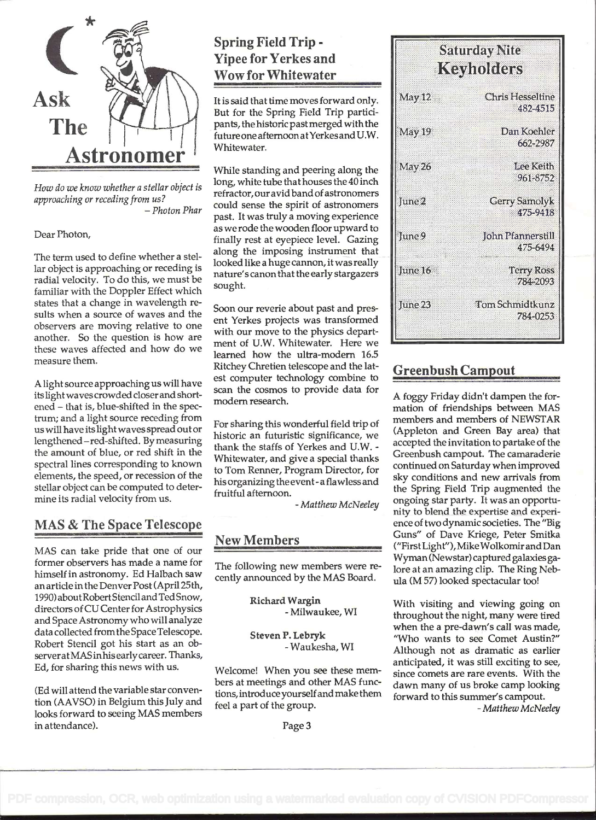

How do we know whether a stellar object is approaching or receding from us?<br>Photon Phar –

Dear Photon,

The term used to define whether a stellar object is approaching or receding is radial velocity. To do this, we must be familiar with the Doppler Effect which states that a change in wavelength results when a source of waves and the observers are moving relative to one another. So the question is how are these waves affected and how do we measure them.

A light source approaching us will have its light wavescrowded closer and shortened - that is, blue-shifted in the spectrum; and a light source receding from us will have its light waves spread out or lengthened -red-shifted. By measuring the amount of blue, or red shift in the spectral lines corresponding to known elements, the speed, or recession of the stellar object can be computed to determine its radial velocity from us.

# MAS & The Space Telescope

MAS can take pride that one of our former observers has made a name for himself in astronomy. Ed Halbach saw an article in the Denver Post (April 25th, 1990)aboutRobertStenciland TedSnow, directors of CU Center for Astrophysics and Space Astronomy who will analyze data collected fromthe Space Telescope. Robert Stencil got his start as an observeratMAS inhis early career. Thanks, Ed, for sharing this news with us.

(Ed will attend the variable star convention (AAVSO) in Belgium this July and looks forward to seeing MAS members in attendance).

# Spring Field Trip - Yipee for Yerkes and Wow for Whitewater

It is said that time moves forward only. May 12 But for the Spring Field Trip participants, the historic past merged with the  $\frac{1}{2}$  May 19 futureone afternoon atYerkesand U.W. Whitewater.

While standing and peering along the **May 26** long, white tube that houses the 40 inch refractor, our avid band of astronomers  $\left\| \begin{matrix} 0 & 0 \\ 0 & 0 \end{matrix} \right\|$  and  $\left\| \begin{matrix} 0 & 0 \\ 0 & 0 \end{matrix} \right\|$ could sense the spirit of astronomers past. It was truly a moving experience as we rode the wooden floor upward to  $\lim_{x \to a} \frac{1}{x}$ finally rest at eyepiece level. Gazing along the imposing instrument that looked like a huge cannon, it was really  $\frac{1}{2}$   $\frac{1}{2}$   $\frac{1}{2}$   $\frac{1}{2}$   $\frac{1}{2}$   $\frac{1}{2}$   $\frac{1}{2}$   $\frac{1}{2}$   $\frac{1}{2}$   $\frac{1}{2}$   $\frac{1}{2}$   $\frac{1}{2}$   $\frac{1}{2}$   $\frac{1}{2}$   $\frac{1}{2}$   $\frac{1}{2}$   $\frac{1}{2}$   $\frac{1}{2}$  nature's canon that the early stargazers sought.

Soon our reverie about past and present Yerkes projects was transformed with our move to the physics department of U.W. Whitewater. Here we learned how the ultra-modern 16.5 Ritchey Chretien telescope and the latest computer technology combine to scan the cosmos to provide data for modem research.

For sharing this wonderful field trip of historic an futuristic significance, we thank the staffs of Yerkes and U.W. - Whitewater, and give a special thanks to Tom Renner, Program Director, for his organizing the event -a flawless and fruitful afternoon.

- Matthew McNeeley

# New Members

The following new members were recently announced by the MAS Board.

> Richard Wargin - Milwaukee, WI

Steven P. Lebryk - Waukesha, WI

Welcome! When you see these members at meetings and other MAS funclions, introduceyourselfand make them feel a part of the group.

# **Saturday Nite Keyholders Chris Hesseltine** 482-4515 Dan Koehler 662-2987 **Lee Keith** 961-8752 Gerry Samolyk 475-9418

**John Pfannerstill** 

Tom Schmidtkunz

475-6494

Terry Ross 784-2093

784-0253

# Greenbush Campout

June 23

A foggy Friday didn't dampen the formation of friendships between MAS members and members of NEWSTAR (Appleton and Green Bay area) that accepted the invitation to partake of the Greenbush campout. The camaraderie continued on Saturday when improved sky conditions and new arrivals from the Spring Field Trip augmented the ongoing star party. It was an opportunity to blend the expertise and experience of two dynamic societies. The "Big Guns" of Dave Kriege, Peter Smitka ("FirstLight"), MikeWolkomir and Dan Wyman (Newstar) captured galaxies galore at an amazing clip. The Ring Nebula (M 57) looked spectacular too!

With visiting and viewing going on throughout the night, many were tired when the a pre-dawn's call was made, "Who wants to see Comet Austin?" Although not as dramatic as earlier anticipated, it was still exciting to see, since comets are rare events. With the dawn many of us broke camp looking forward to this summer's campout.<br>- Matthew McNeeley